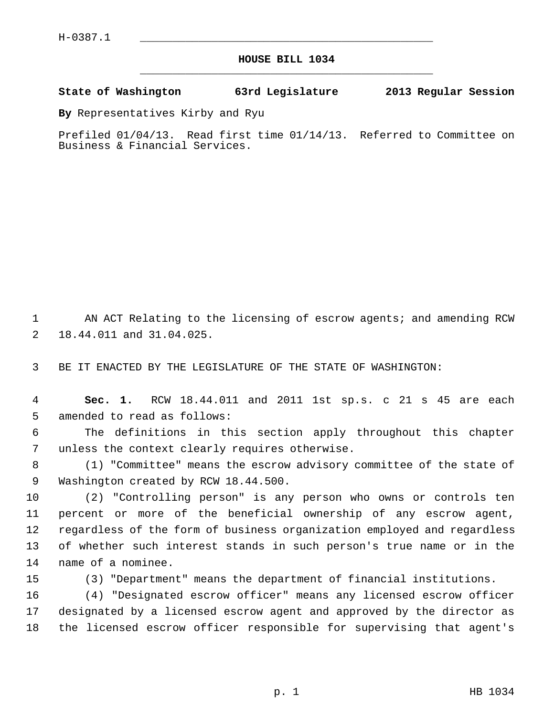## **HOUSE BILL 1034** \_\_\_\_\_\_\_\_\_\_\_\_\_\_\_\_\_\_\_\_\_\_\_\_\_\_\_\_\_\_\_\_\_\_\_\_\_\_\_\_\_\_\_\_\_

## **State of Washington 63rd Legislature 2013 Regular Session**

**By** Representatives Kirby and Ryu

Prefiled 01/04/13. Read first time 01/14/13. Referred to Committee on Business & Financial Services.

1 AN ACT Relating to the licensing of escrow agents; and amending RCW 2 18.44.011 and 31.04.025.

3 BE IT ENACTED BY THE LEGISLATURE OF THE STATE OF WASHINGTON:

 4 **Sec. 1.** RCW 18.44.011 and 2011 1st sp.s. c 21 s 45 are each 5 amended to read as follows:

 6 The definitions in this section apply throughout this chapter 7 unless the context clearly requires otherwise.

 8 (1) "Committee" means the escrow advisory committee of the state of 9 Washington created by RCW 18.44.500.

10 (2) "Controlling person" is any person who owns or controls ten 11 percent or more of the beneficial ownership of any escrow agent, 12 regardless of the form of business organization employed and regardless 13 of whether such interest stands in such person's true name or in the 14 name of a nominee.

15 (3) "Department" means the department of financial institutions.

16 (4) "Designated escrow officer" means any licensed escrow officer 17 designated by a licensed escrow agent and approved by the director as 18 the licensed escrow officer responsible for supervising that agent's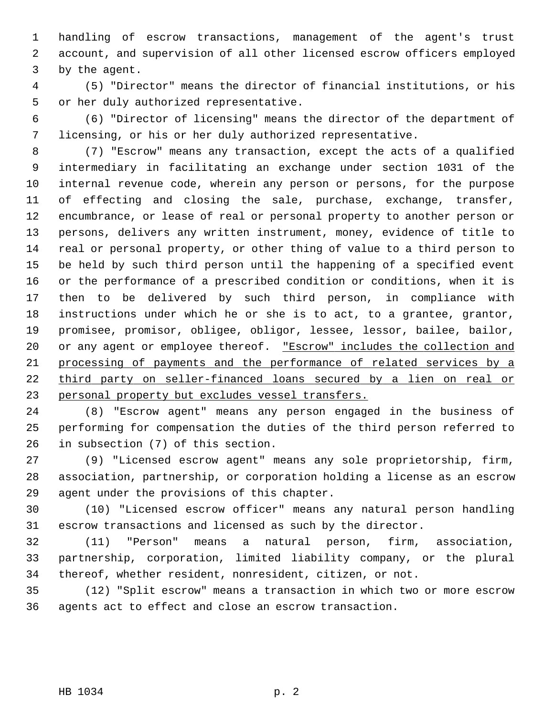1 handling of escrow transactions, management of the agent's trust 2 account, and supervision of all other licensed escrow officers employed 3 by the agent.

 4 (5) "Director" means the director of financial institutions, or his 5 or her duly authorized representative.

 6 (6) "Director of licensing" means the director of the department of 7 licensing, or his or her duly authorized representative.

 8 (7) "Escrow" means any transaction, except the acts of a qualified 9 intermediary in facilitating an exchange under section 1031 of the 10 internal revenue code, wherein any person or persons, for the purpose 11 of effecting and closing the sale, purchase, exchange, transfer, 12 encumbrance, or lease of real or personal property to another person or 13 persons, delivers any written instrument, money, evidence of title to 14 real or personal property, or other thing of value to a third person to 15 be held by such third person until the happening of a specified event 16 or the performance of a prescribed condition or conditions, when it is 17 then to be delivered by such third person, in compliance with 18 instructions under which he or she is to act, to a grantee, grantor, 19 promisee, promisor, obligee, obligor, lessee, lessor, bailee, bailor, 20 or any agent or employee thereof. "Escrow" includes the collection and 21 processing of payments and the performance of related services by a 22 third party on seller-financed loans secured by a lien on real or 23 personal property but excludes vessel transfers.

24 (8) "Escrow agent" means any person engaged in the business of 25 performing for compensation the duties of the third person referred to 26 in subsection (7) of this section.

27 (9) "Licensed escrow agent" means any sole proprietorship, firm, 28 association, partnership, or corporation holding a license as an escrow 29 agent under the provisions of this chapter.

30 (10) "Licensed escrow officer" means any natural person handling 31 escrow transactions and licensed as such by the director.

32 (11) "Person" means a natural person, firm, association, 33 partnership, corporation, limited liability company, or the plural 34 thereof, whether resident, nonresident, citizen, or not.

35 (12) "Split escrow" means a transaction in which two or more escrow 36 agents act to effect and close an escrow transaction.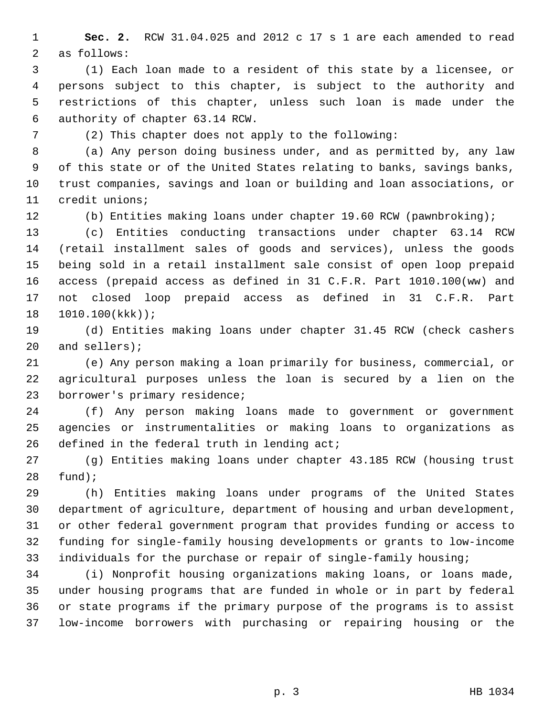1 **Sec. 2.** RCW 31.04.025 and 2012 c 17 s 1 are each amended to read 2 as follows:

 3 (1) Each loan made to a resident of this state by a licensee, or 4 persons subject to this chapter, is subject to the authority and 5 restrictions of this chapter, unless such loan is made under the 6 authority of chapter 63.14 RCW.

7 (2) This chapter does not apply to the following:

 8 (a) Any person doing business under, and as permitted by, any law 9 of this state or of the United States relating to banks, savings banks, 10 trust companies, savings and loan or building and loan associations, or 11 credit unions;

12 (b) Entities making loans under chapter 19.60 RCW (pawnbroking);

13 (c) Entities conducting transactions under chapter 63.14 RCW 14 (retail installment sales of goods and services), unless the goods 15 being sold in a retail installment sale consist of open loop prepaid 16 access (prepaid access as defined in 31 C.F.R. Part 1010.100(ww) and 17 not closed loop prepaid access as defined in 31 C.F.R. Part 18 1010.100(kkk));

19 (d) Entities making loans under chapter 31.45 RCW (check cashers 20 and sellers);

21 (e) Any person making a loan primarily for business, commercial, or 22 agricultural purposes unless the loan is secured by a lien on the 23 borrower's primary residence;

24 (f) Any person making loans made to government or government 25 agencies or instrumentalities or making loans to organizations as 26 defined in the federal truth in lending act;

27 (g) Entities making loans under chapter 43.185 RCW (housing trust 28 fund);

29 (h) Entities making loans under programs of the United States 30 department of agriculture, department of housing and urban development, 31 or other federal government program that provides funding or access to 32 funding for single-family housing developments or grants to low-income 33 individuals for the purchase or repair of single-family housing;

34 (i) Nonprofit housing organizations making loans, or loans made, 35 under housing programs that are funded in whole or in part by federal 36 or state programs if the primary purpose of the programs is to assist 37 low-income borrowers with purchasing or repairing housing or the